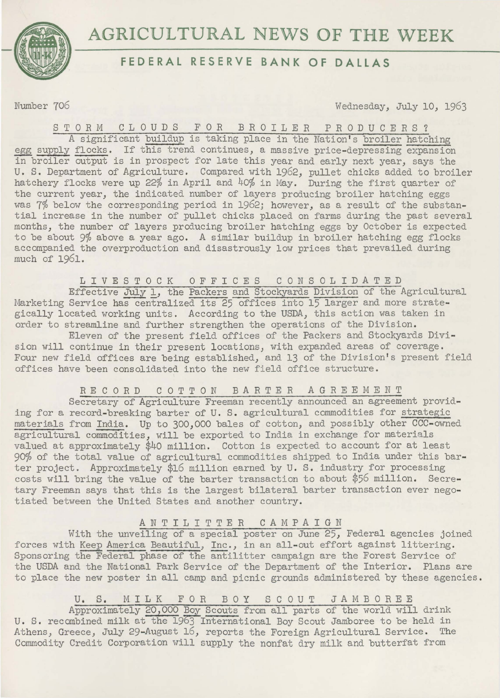

# **AGRICULTURAL NEWS OF THE WEEK**

# **FEDERAL RESERVE BANK OF DALLAS**

Number 706 Wednesday, July 10, 1963

STORM CLOUDS FOR BROILER PRODUCERS?

A significant buildup is taking place in the Nation's broiler hatching egg supply flocks. If this trend continues, a massive price-depressing expansion in broiler output is in prospect for late this year and early next year, says the U. S. Department of Agriculture. Compared with 1962, pullet chicks added to broiler hatchery flocks were up 22% in April and 40% in May. During the first quarter of the current year, the indicated number of layers producing broiler hatching eggs was 7% below the corresponding period in 1962; however, as a result of the substantial increase in the number of pullet chicks placed on farms during the past several months, the number of layers producing broiler hatching eggs by October is expected to be about 9% above a year ago. A similar buildup in broiler hatching egg flocks accompanied the overproduction and disastrously low prices that prevailed during much of 1961.

L I V E S T O C K O F F I C E S CONSOLIDATED

Effective July 1, the Packers and Stockyards Division of the Agricultural Marketing Service has centralized its 25 offices into 15 larger and more strategically located working units. According to the USDA, this action was taken in order to streamline and further strengthen the operations of the Division.

Eleven of the present field offices of the Packers and Stockyards Division will continue in their present locations, with expanded areas of coverage. Four new field offices are being established, and 13 of the Division's present field offices have been consolidated into the new field office structure.

RECORD COTTON BARTER AGREEMENT

Secretary of Agriculture Freeman recently announced an agreement providing for a record-breaking barter of U. S. agricultural commodities for strategic materials from India. Up to 300,000 bales of cotton, and possibly other CCC-owned agricultural commodities, will be exported to India in exchange for materials valued at approximately \$40 million. Cotton is expected to account for at least 90% of the total value of agricultural commodities shipped to India under this barter project. Approximately \$16 million earned by U. S. industry for processing costs will bring the value of the barter transaction to about \$56 million. Secretary Freeman says that this is the largest bilateral barter transaction ever negotiated between the United States and another country.

## ANTILITTER CAMPAIGN

With the unveiling of a special poster on June 25, Federal agencies joined forces with Keep America Beautiful, Inc., in an all-out effort against littering. Sponsoring the Federal phase of the antilitter campaign are the Forest Service of the USDA and the National Park Service of the Department of the Interior. Plans are to place the new poster in all camp and picnic grounds administered by these agencies.

U.S. MILK FOR BOY SCOUT JAMBOREE

Approximately 20,000 Boy Scouts from all parts of the world will drink U. S. recombined milk at the 1963 International Boy Scout Jamboree to be held in Athens, Greece, July 29-August 16, reports the Foreign Agricultural Service. The Commodity Credit Corporation will supply the nonfat dry milk and butterfat from